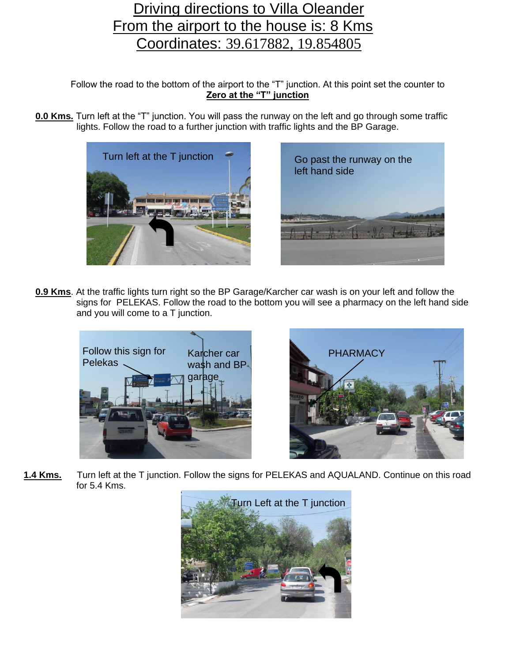## Driving directions to Villa Oleander From the airport to the house is: 8 Kms Coordinates: [39.617882, 19.854805](https://www.bing.com/maps?q=39.6171968%2C19.8567319&cvid=f7105aa10d724014aa55d6c7140b9b72&aqs=edge..69i57.1338j0j1&pglt=675&FORM=ANSPA1&PC=HCTS)

Follow the road to the bottom of the airport to the "T" junction. At this point set the counter to **Zero at the "T" junction**

**0.0 Kms.** Turn left at the "T" junction. You will pass the runway on the left and go through some traffic lights. Follow the road to a further junction with traffic lights and the BP Garage.





**0.9 Kms**. At the traffic lights turn right so the BP Garage/Karcher car wash is on your left and follow the signs for PELEKAS. Follow the road to the bottom you will see a pharmacy on the left hand side and you will come to a T junction.





**1.4 Kms.** Turn left at the T junction. Follow the signs for PELEKAS and AQUALAND. Continue on this road for 5.4 Kms.

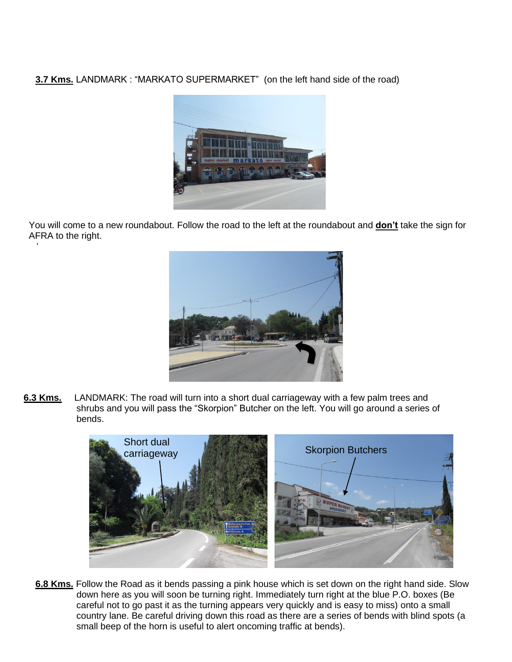**3.7 Kms.** LANDMARK : "MARKATO SUPERMARKET" (on the left hand side of the road)



 You will come to a new roundabout. Follow the road to the left at the roundabout and **don't** take the sign for AFRA to the right. '' <sup>6</sup>



**6.3 Kms.** LANDMARK: The road will turn into a short dual carriageway with a few palm trees and shrubs and you will pass the "Skorpion" Butcher on the left. You will go around a series of bends.



**6.8 Kms.** Follow the Road as it bends passing a pink house which is set down on the right hand side. Slow down here as you will soon be turning right. Immediately turn right at the blue P.O. boxes (Be careful not to go past it as the turning appears very quickly and is easy to miss) onto a small country lane. Be careful driving down this road as there are a series of bends with blind spots (a small beep of the horn is useful to alert oncoming traffic at bends).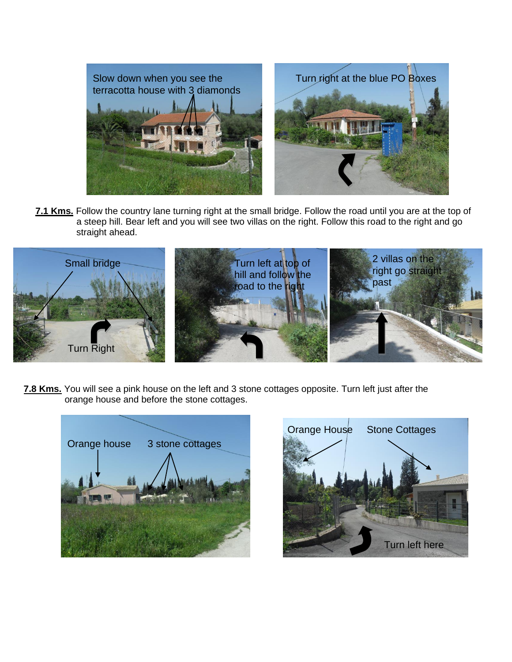

**7.1 Kms.** Follow the country lane turning right at the small bridge. Follow the road until you are at the top of a steep hill. Bear left and you will see two villas on the right. Follow this road to the right and go straight ahead.



**7.8 Kms.** You will see a pink house on the left and 3 stone cottages opposite. Turn left just after the orange house and before the stone cottages.